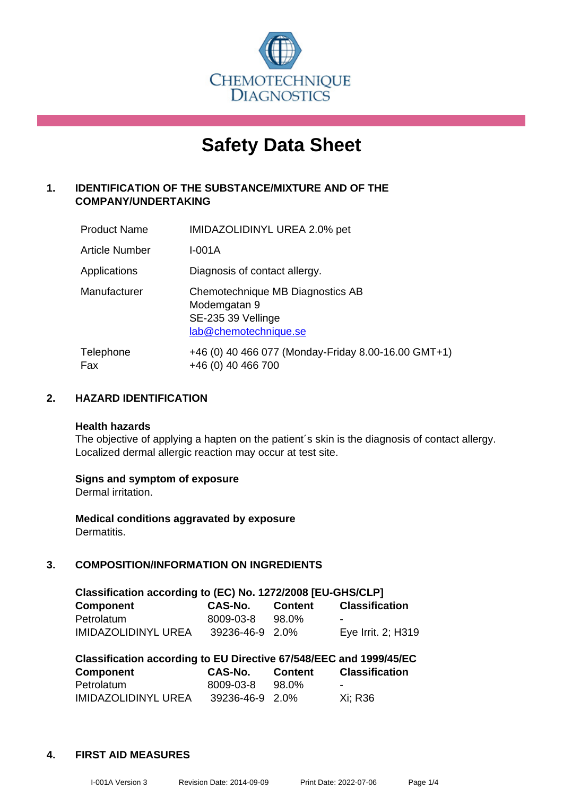

# **Safety Data Sheet**

### **1. IDENTIFICATION OF THE SUBSTANCE/MIXTURE AND OF THE COMPANY/UNDERTAKING**

| <b>Product Name</b> | IMIDAZOLIDINYL UREA 2.0% pet                                                                    |
|---------------------|-------------------------------------------------------------------------------------------------|
| Article Number      | I-001A                                                                                          |
| Applications        | Diagnosis of contact allergy.                                                                   |
| Manufacturer        | Chemotechnique MB Diagnostics AB<br>Modemgatan 9<br>SE-235 39 Vellinge<br>lab@chemotechnique.se |
| Telephone<br>Fax    | +46 (0) 40 466 077 (Monday-Friday 8.00-16.00 GMT+1)<br>+46 (0) 40 466 700                       |

### **2. HAZARD IDENTIFICATION**

#### **Health hazards**

The objective of applying a hapten on the patient's skin is the diagnosis of contact allergy. Localized dermal allergic reaction may occur at test site.

### **Signs and symptom of exposure**

Dermal irritation.

**Medical conditions aggravated by exposure** Dermatitis.

### **3. COMPOSITION/INFORMATION ON INGREDIENTS**

| Classification according to (EC) No. 1272/2008 [EU-GHS/CLP] |                 |         |                       |  |  |
|-------------------------------------------------------------|-----------------|---------|-----------------------|--|--|
| Component                                                   | <b>CAS-No.</b>  | Content | <b>Classification</b> |  |  |
| Petrolatum                                                  | 8009-03-8       | 98.0%   |                       |  |  |
| <b>IMIDAZOLIDINYL UREA</b>                                  | 39236-46-9 2.0% |         | Eye Irrit. 2; H319    |  |  |

| Classification according to EU Directive 67/548/EEC and 1999/45/EC |                 |                |                       |  |  |
|--------------------------------------------------------------------|-----------------|----------------|-----------------------|--|--|
| Component                                                          | <b>CAS-No.</b>  | <b>Content</b> | <b>Classification</b> |  |  |
| Petrolatum                                                         | 8009-03-8       | 98.0%          | -                     |  |  |
| <b>IMIDAZOLIDINYL UREA</b>                                         | 39236-46-9 2.0% |                | Xi: R36               |  |  |

### **4. FIRST AID MEASURES**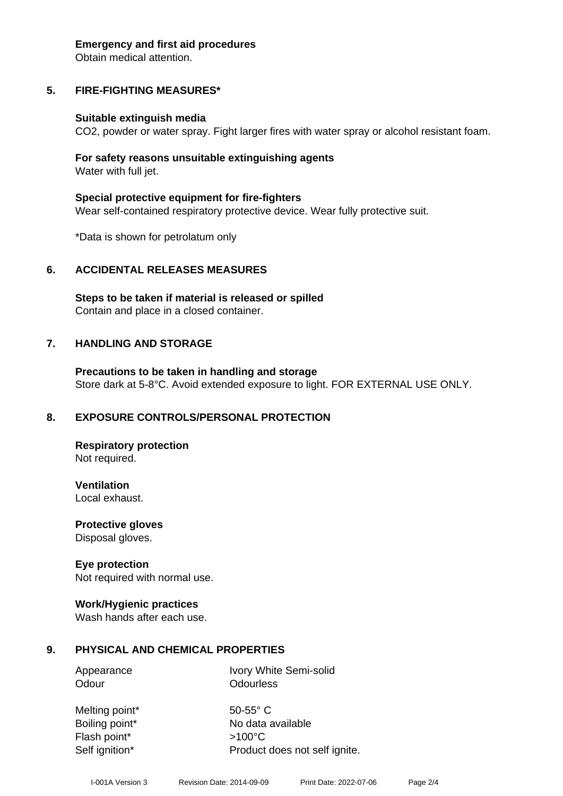#### **Emergency and first aid procedures**

Obtain medical attention.

# **5. FIRE-FIGHTING MEASURES\***

### **Suitable extinguish media**

CO2, powder or water spray. Fight larger fires with water spray or alcohol resistant foam.

### **For safety reasons unsuitable extinguishing agents** Water with full jet.

**Special protective equipment for fire-fighters** Wear self-contained respiratory protective device. Wear fully protective suit.

\*Data is shown for petrolatum only

# **6. ACCIDENTAL RELEASES MEASURES**

**Steps to be taken if material is released or spilled** Contain and place in a closed container.

# **7. HANDLING AND STORAGE**

**Precautions to be taken in handling and storage** Store dark at 5-8°C. Avoid extended exposure to light. FOR EXTERNAL USE ONLY.

# **8. EXPOSURE CONTROLS/PERSONAL PROTECTION**

**Respiratory protection** Not required.

**Ventilation** Local exhaust.

**Protective gloves**

Disposal gloves.

# **Eye protection**

Not required with normal use.

### **Work/Hygienic practices**

Wash hands after each use.

# **9. PHYSICAL AND CHEMICAL PROPERTIES**

Appearance Ivory White Semi-solid Odour **Odourless** 

Melting point\* 50-55° C Flash point\* >100°C

Boiling point\* No data available Self ignition\* Product does not self ignite.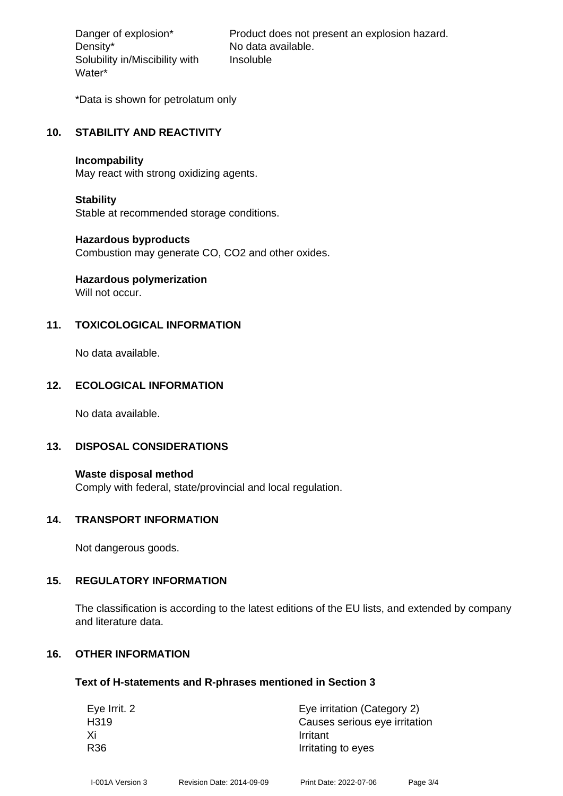Density\* No data available. Solubility in/Miscibility with Water\*

Danger of explosion\* Product does not present an explosion hazard. Insoluble

\*Data is shown for petrolatum only

#### **10. STABILITY AND REACTIVITY**

#### **Incompability**

May react with strong oxidizing agents.

#### **Stability**

Stable at recommended storage conditions.

#### **Hazardous byproducts**

Combustion may generate CO, CO2 and other oxides.

# **Hazardous polymerization**

Will not occur.

### **11. TOXICOLOGICAL INFORMATION**

No data available.

### **12. ECOLOGICAL INFORMATION**

No data available.

### **13. DISPOSAL CONSIDERATIONS**

**Waste disposal method** Comply with federal, state/provincial and local regulation.

#### **14. TRANSPORT INFORMATION**

Not dangerous goods.

### **15. REGULATORY INFORMATION**

The classification is according to the latest editions of the EU lists, and extended by company and literature data.

### **16. OTHER INFORMATION**

#### **Text of H-statements and R-phrases mentioned in Section 3**

| Eye Irrit. 2 | Eye irritation (Category 2)   |  |  |
|--------------|-------------------------------|--|--|
| H319         | Causes serious eye irritation |  |  |
| Xi           | Irritant                      |  |  |
| R36          | Irritating to eyes            |  |  |
|              |                               |  |  |